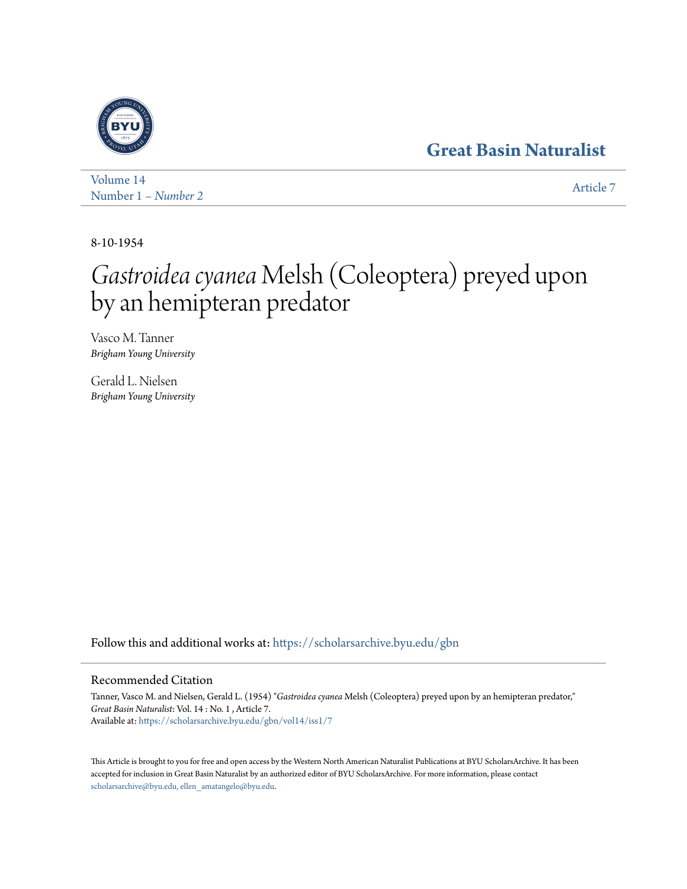## **[Great Basin Naturalist](https://scholarsarchive.byu.edu/gbn?utm_source=scholarsarchive.byu.edu%2Fgbn%2Fvol14%2Fiss1%2F7&utm_medium=PDF&utm_campaign=PDFCoverPages)**



[Volume 14](https://scholarsarchive.byu.edu/gbn/vol14?utm_source=scholarsarchive.byu.edu%2Fgbn%2Fvol14%2Fiss1%2F7&utm_medium=PDF&utm_campaign=PDFCoverPages) Number 1 *[– Number 2](https://scholarsarchive.byu.edu/gbn/vol14/iss1?utm_source=scholarsarchive.byu.edu%2Fgbn%2Fvol14%2Fiss1%2F7&utm_medium=PDF&utm_campaign=PDFCoverPages)* [Article 7](https://scholarsarchive.byu.edu/gbn/vol14/iss1/7?utm_source=scholarsarchive.byu.edu%2Fgbn%2Fvol14%2Fiss1%2F7&utm_medium=PDF&utm_campaign=PDFCoverPages)

8-10-1954

## *Gastroidea cyanea* Melsh (Coleoptera) preyed upon by an hemipteran predator

Vasco M. Tanner *Brigham Young University*

Gerald L. Nielsen *Brigham Young University*

Follow this and additional works at: [https://scholarsarchive.byu.edu/gbn](https://scholarsarchive.byu.edu/gbn?utm_source=scholarsarchive.byu.edu%2Fgbn%2Fvol14%2Fiss1%2F7&utm_medium=PDF&utm_campaign=PDFCoverPages)

## Recommended Citation

Tanner, Vasco M. and Nielsen, Gerald L. (1954) "*Gastroidea cyanea* Melsh (Coleoptera) preyed upon by an hemipteran predator," *Great Basin Naturalist*: Vol. 14 : No. 1 , Article 7. Available at: [https://scholarsarchive.byu.edu/gbn/vol14/iss1/7](https://scholarsarchive.byu.edu/gbn/vol14/iss1/7?utm_source=scholarsarchive.byu.edu%2Fgbn%2Fvol14%2Fiss1%2F7&utm_medium=PDF&utm_campaign=PDFCoverPages)

This Article is brought to you for free and open access by the Western North American Naturalist Publications at BYU ScholarsArchive. It has been accepted for inclusion in Great Basin Naturalist by an authorized editor of BYU ScholarsArchive. For more information, please contact [scholarsarchive@byu.edu, ellen\\_amatangelo@byu.edu.](mailto:scholarsarchive@byu.edu,%20ellen_amatangelo@byu.edu)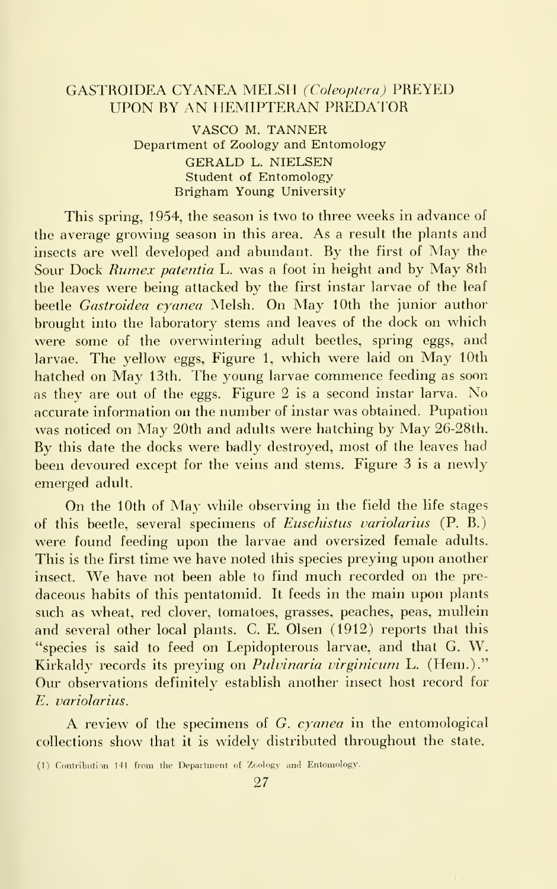## GASTROIDEA CYANEA MELSH (Coleoptera) PREYED **UPON BY AN HEMIPTERAN PREDATOR**

VASCO M. TANNER Department of Zoology and Entomology GERALD L.NIELSEN Student of Entomology Brigham Young University

This spring, 1954, the season is two to three weeks in advance of the average growing season in this area. As a result the plants and insects are well developed and abundant. By the first of May the Sour Dock Rumex patentia L. was <sup>a</sup> foot in height and by May 8th the leaves were being attacked by the first instar larvae of the leaf beetle *Gastroidea cyanea* Melsh. On May 10th the junior author brought into the laboratory stems and leaves of the dock on which were some of the overwintering adult beetles, spring eggs, and larvae. The yellow eggs, Figure 1, which were laid on May 10th hatched on May 13th. The young larvae commence feeding as soon as they are out of the eggs. Figure 2 is <sup>a</sup> second instar larva. No accurate information on the number of instar was obtained. Pupation was noticed on May 20th and adults were hatching by May 26-28th. By this date the docks were badly destroyed, most of the leaves had been devoured except for the veins and stems. Figure <sup>3</sup> is <sup>a</sup> newly emerged adult.

On the 10th of May while observing in the field the life stages of this beetle, several specimens of Euschistus variolarius (P. B.) were found feeding upon the larvae and oversized female adults. This is the first time we have noted this species preying upon another insect. We have not been able to find much recorded on the pre daceous habits of this pentatomid. It feeds in the main upon plants such as wheat, red clover, tomatoes, grasses, peaches, peas, mullein and several other local plants. C. E. Olsen (1912) reports that this "species is said to feed on Lepidopterous larvae, and that G. W. Kirkaldy records its preying on Pulvinaria virginicum L. (Hem.)." Our observations definitely establish another insect host record for E. variolarius.

A review of the specimens of G. cyanea in the entomological collections show that it is widely distributed throughout the state.

<sup>(1)</sup> Contribution 141 from the Department of Zoology and Entomology.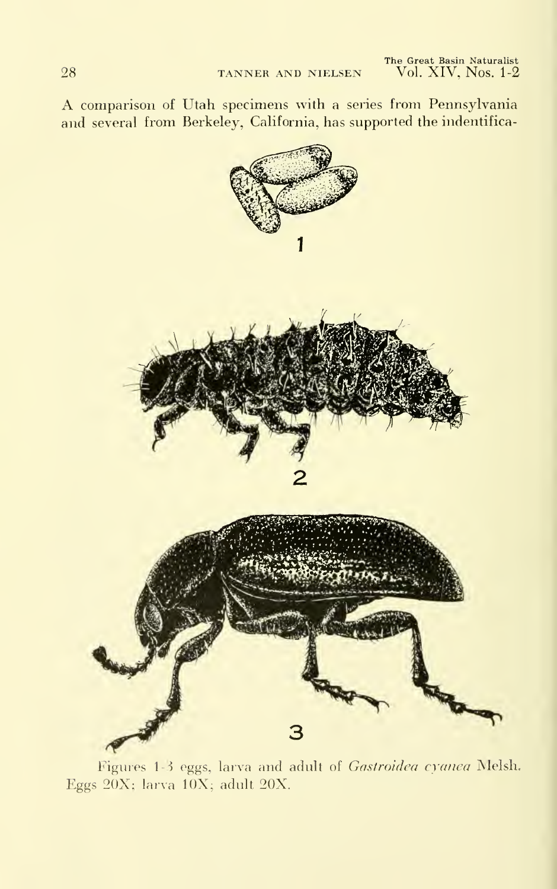A comparison of Utah specimens with <sup>a</sup> series from Pennsylvania and several from Berkeley, California, has supported the indentifica-



Figures 1-3 eggs, larva and adult of Gastroidea cyanea Melsh. Eggs 20X; larva lOX; adult 20X.